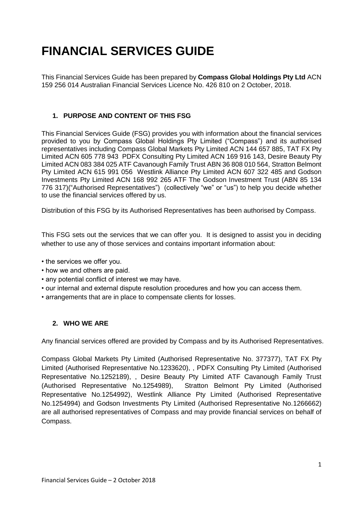# **FINANCIAL SERVICES GUIDE**

This Financial Services Guide has been prepared by **Compass Global Holdings Pty Ltd** ACN 159 256 014 Australian Financial Services Licence No. 426 810 on 2 October, 2018.

## **1. PURPOSE AND CONTENT OF THIS FSG**

This Financial Services Guide (FSG) provides you with information about the financial services provided to you by Compass Global Holdings Pty Limited ("Compass") and its authorised representatives including Compass Global Markets Pty Limited ACN 144 657 885, TAT FX Pty Limited ACN 605 778 943 PDFX Consulting Pty Limited ACN 169 916 143, Desire Beauty Pty Limited ACN 083 384 025 ATF Cavanough Family Trust ABN 36 808 010 564, Stratton Belmont Pty Limited ACN 615 991 056 Westlink Alliance Pty Limited ACN 607 322 485 and Godson Investments Pty Limited ACN 168 992 265 ATF The Godson Investment Trust (ABN 85 134 776 317)("Authorised Representatives") (collectively "we" or "us") to help you decide whether to use the financial services offered by us.

Distribution of this FSG by its Authorised Representatives has been authorised by Compass.

This FSG sets out the services that we can offer you. It is designed to assist you in deciding whether to use any of those services and contains important information about:

- the services we offer you.
- how we and others are paid.
- any potential conflict of interest we may have.
- our internal and external dispute resolution procedures and how you can access them.
- arrangements that are in place to compensate clients for losses.

#### **2. WHO WE ARE**

Any financial services offered are provided by Compass and by its Authorised Representatives.

Compass Global Markets Pty Limited (Authorised Representative No. 377377), TAT FX Pty Limited (Authorised Representative No.1233620), , PDFX Consulting Pty Limited (Authorised Representative No.1252189), , Desire Beauty Pty Limited ATF Cavanough Family Trust (Authorised Representative No.1254989), Stratton Belmont Pty Limited (Authorised Representative No.1254992), Westlink Alliance Pty Limited (Authorised Representative No.1254994) and Godson Investments Pty Limited (Authorised Representative No.1266662) are all authorised representatives of Compass and may provide financial services on behalf of Compass.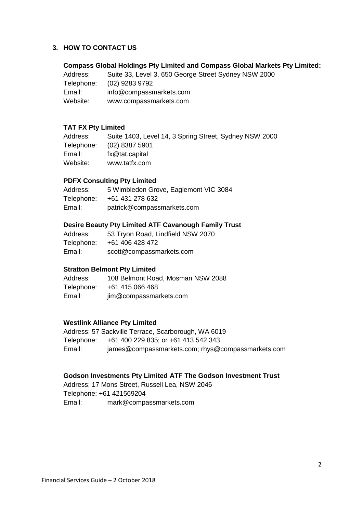#### **3. HOW TO CONTACT US**

**Compass Global Holdings Pty Limited and Compass Global Markets Pty Limited:**

Address: Suite 33, Level 3, 650 George Street Sydney NSW 2000 Telephone: (02) 9283 9792 Email: info@compassmarkets.com Website: www.compassmarkets.com

### **TAT FX Pty Limited**

| Address:   | Suite 1403, Level 14, 3 Spring Street, Sydney NSW 2000 |
|------------|--------------------------------------------------------|
| Telephone: | $(02)$ 8387 5901                                       |
| Email:     | fx@tat.capital                                         |
| Website:   | www.tatfx.com                                          |

### **PDFX Consulting Pty Limited**

| Address:   | 5 Wimbledon Grove, Eaglemont VIC 3084 |
|------------|---------------------------------------|
| Telephone: | +61 431 278 632                       |
| Email:     | patrick@compassmarkets.com            |

#### **Desire Beauty Pty Limited ATF Cavanough Family Trust**

| Address:   | 53 Tryon Road, Lindfield NSW 2070 |
|------------|-----------------------------------|
| Telephone: | +61 406 428 472                   |
| Email:     | scott@compassmarkets.com          |

## **Stratton Belmont Pty Limited**

Address: 108 Belmont Road, Mosman NSW 2088 Telephone: +61 415 066 468 Email: jim@compassmarkets.com

#### **Westlink Alliance Pty Limited**

Address: 57 Sackville Terrace, Scarborough, WA 6019 Telephone: +61 400 229 835; or +61 413 542 343 Email: james@compassmarkets.com; rhys@compassmarkets.com

#### **Godson Investments Pty Limited ATF The Godson Investment Trust**

Address; 17 Mons Street, Russell Lea, NSW 2046 Telephone: +61 421569204 Email: mark@compassmarkets.com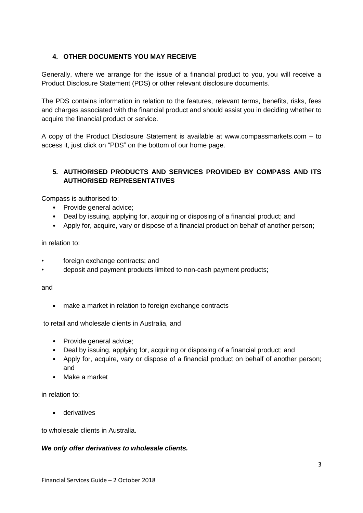## **4. OTHER DOCUMENTS YOU MAY RECEIVE**

Generally, where we arrange for the issue of a financial product to you, you will receive a Product Disclosure Statement (PDS) or other relevant disclosure documents.

The PDS contains information in relation to the features, relevant terms, benefits, risks, fees and charges associated with the financial product and should assist you in deciding whether to acquire the financial product or service.

A copy of the Product Disclosure Statement is available at www.compassmarkets.com – to access it, just click on "PDS" on the bottom of our home page.

## **5. AUTHORISED PRODUCTS AND SERVICES PROVIDED BY COMPASS AND ITS AUTHORISED REPRESENTATIVES**

Compass is authorised to:

- Provide general advice;
- Deal by issuing, applying for, acquiring or disposing of a financial product; and
- Apply for, acquire, vary or dispose of a financial product on behalf of another person;

in relation to:

- foreign exchange contracts; and
- deposit and payment products limited to non-cash payment products;

and

make a market in relation to foreign exchange contracts

to retail and wholesale clients in Australia, and

- Provide general advice;
- Deal by issuing, applying for, acquiring or disposing of a financial product; and
- Apply for, acquire, vary or dispose of a financial product on behalf of another person; and
- Make a market

in relation to:

• derivatives

to wholesale clients in Australia.

#### *We only offer derivatives to wholesale clients.*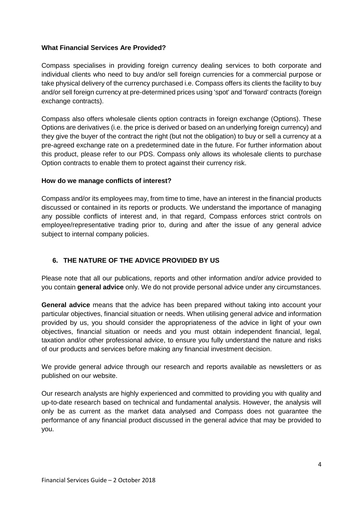#### **What Financial Services Are Provided?**

Compass specialises in providing foreign currency dealing services to both corporate and individual clients who need to buy and/or sell foreign currencies for a commercial purpose or take physical delivery of the currency purchased i.e. Compass offers its clients the facility to buy and/or sell foreign currency at pre-determined prices using 'spot' and 'forward' contracts (foreign exchange contracts).

Compass also offers wholesale clients option contracts in foreign exchange (Options). These Options are derivatives (i.e. the price is derived or based on an underlying foreign currency) and they give the buyer of the contract the right (but not the obligation) to buy or sell a currency at a pre-agreed exchange rate on a predetermined date in the future. For further information about this product, please refer to our PDS. Compass only allows its wholesale clients to purchase Option contracts to enable them to protect against their currency risk.

#### **How do we manage conflicts of interest?**

Compass and/or its employees may, from time to time, have an interest in the financial products discussed or contained in its reports or products. We understand the importance of managing any possible conflicts of interest and, in that regard, Compass enforces strict controls on employee/representative trading prior to, during and after the issue of any general advice subject to internal company policies.

## **6. THE NATURE OF THE ADVICE PROVIDED BY US**

Please note that all our publications, reports and other information and/or advice provided to you contain **general advice** only. We do not provide personal advice under any circumstances.

**General advice** means that the advice has been prepared without taking into account your particular objectives, financial situation or needs. When utilising general advice and information provided by us, you should consider the appropriateness of the advice in light of your own objectives, financial situation or needs and you must obtain independent financial, legal, taxation and/or other professional advice, to ensure you fully understand the nature and risks of our products and services before making any financial investment decision.

We provide general advice through our research and reports available as newsletters or as published on our website.

Our research analysts are highly experienced and committed to providing you with quality and up-to-date research based on technical and fundamental analysis. However, the analysis will only be as current as the market data analysed and Compass does not guarantee the performance of any financial product discussed in the general advice that may be provided to you.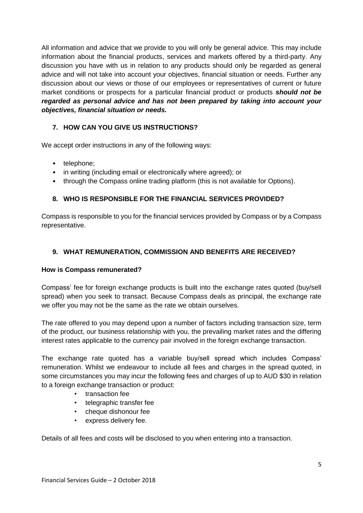All information and advice that we provide to you will only be general advice. This may include information about the financial products, services and markets offered by a third-party. Any discussion you have with us in relation to any products should only be regarded as general advice and will not take into account your objectives, financial situation or needs. Further any discussion about our views or those of our employees or representatives of current or future market conditions or prospects for a particular financial product or products *should not be regarded as personal advice and has not been prepared by taking into account your objectives, financial situation or needs.*

## **7. HOW CAN YOU GIVE US INSTRUCTIONS?**

We accept order instructions in any of the following ways:

- telephone;
- in writing (including email or electronically where agreed); or
- through the Compass online trading platform (this is not available for Options).

## **8. WHO IS RESPONSIBLE FOR THE FINANCIAL SERVICES PROVIDED?**

Compass is responsible to you for the financial services provided by Compass or by a Compass representative.

### **9. WHAT REMUNERATION, COMMISSION AND BENEFITS ARE RECEIVED?**

#### **How is Compass remunerated?**

Compass' fee for foreign exchange products is built into the exchange rates quoted (buy/sell spread) when you seek to transact. Because Compass deals as principal, the exchange rate we offer you may not be the same as the rate we obtain ourselves.

The rate offered to you may depend upon a number of factors including transaction size, term of the product, our business relationship with you, the prevailing market rates and the differing interest rates applicable to the currency pair involved in the foreign exchange transaction.

The exchange rate quoted has a variable buy/sell spread which includes Compass' remuneration. Whilst we endeavour to include all fees and charges in the spread quoted, in some circumstances you may incur the following fees and charges of up to AUD \$30 in relation to a foreign exchange transaction or product:

- transaction fee
- telegraphic transfer fee
- cheque dishonour fee
- express delivery fee.

Details of all fees and costs will be disclosed to you when entering into a transaction.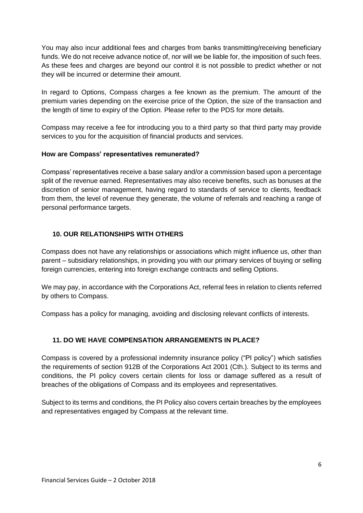You may also incur additional fees and charges from banks transmitting/receiving beneficiary funds. We do not receive advance notice of, nor will we be liable for, the imposition of such fees. As these fees and charges are beyond our control it is not possible to predict whether or not they will be incurred or determine their amount.

In regard to Options, Compass charges a fee known as the premium. The amount of the premium varies depending on the exercise price of the Option, the size of the transaction and the length of time to expiry of the Option. Please refer to the PDS for more details.

Compass may receive a fee for introducing you to a third party so that third party may provide services to you for the acquisition of financial products and services.

### **How are Compass' representatives remunerated?**

Compass' representatives receive a base salary and/or a commission based upon a percentage split of the revenue earned. Representatives may also receive benefits, such as bonuses at the discretion of senior management, having regard to standards of service to clients, feedback from them, the level of revenue they generate, the volume of referrals and reaching a range of personal performance targets.

## **10. OUR RELATIONSHIPS WITH OTHERS**

Compass does not have any relationships or associations which might influence us, other than parent – subsidiary relationships, in providing you with our primary services of buying or selling foreign currencies, entering into foreign exchange contracts and selling Options.

We may pay, in accordance with the Corporations Act, referral fees in relation to clients referred by others to Compass.

Compass has a policy for managing, avoiding and disclosing relevant conflicts of interests.

## **11. DO WE HAVE COMPENSATION ARRANGEMENTS IN PLACE?**

Compass is covered by a professional indemnity insurance policy ("PI policy") which satisfies the requirements of section 912B of the Corporations Act 2001 (Cth.). Subject to its terms and conditions, the PI policy covers certain clients for loss or damage suffered as a result of breaches of the obligations of Compass and its employees and representatives.

Subject to its terms and conditions, the PI Policy also covers certain breaches by the employees and representatives engaged by Compass at the relevant time.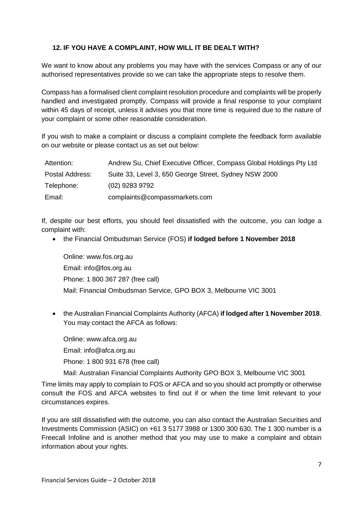## **12. IF YOU HAVE A COMPLAINT, HOW WILL IT BE DEALT WITH?**

We want to know about any problems you may have with the services Compass or any of our authorised representatives provide so we can take the appropriate steps to resolve them.

Compass has a formalised client complaint resolution procedure and complaints will be properly handled and investigated promptly. Compass will provide a final response to your complaint within 45 days of receipt, unless it advises you that more time is required due to the nature of your complaint or some other reasonable consideration.

If you wish to make a complaint or discuss a complaint complete the feedback form available on our website or please contact us as set out below:

| Attention:      | Andrew Su, Chief Executive Officer, Compass Global Holdings Pty Ltd |
|-----------------|---------------------------------------------------------------------|
| Postal Address: | Suite 33, Level 3, 650 George Street, Sydney NSW 2000               |
| Telephone:      | (02) 9283 9792                                                      |
| Email:          | complaints@compassmarkets.com                                       |

If, despite our best efforts, you should feel dissatisfied with the outcome, you can lodge a complaint with:

• the Financial Ombudsman Service (FOS) **if lodged before 1 November 2018**

Online: www.fos.org.au Email: info@fos.org.au Phone: 1 800 367 287 (free call) Mail: Financial Ombudsman Service, GPO BOX 3, Melbourne VIC 3001

• the Australian Financial Complaints Authority (AFCA) **if lodged after 1 November 2018**. You may contact the AFCA as follows:

Online: www.afca.org.au Email: info@afca.org.au Phone: 1 800 931 678 (free call)

Mail: Australian Financial Complaints Authority GPO BOX 3, Melbourne VIC 3001

Time limits may apply to complain to FOS or AFCA and so you should act promptly or otherwise consult the FOS and AFCA websites to find out if or when the time limit relevant to your circumstances expires.

If you are still dissatisfied with the outcome, you can also contact the Australian Securities and Investments Commission (ASIC) on +61 3 5177 3988 or 1300 300 630. The 1 300 number is a Freecall Infoline and is another method that you may use to make a complaint and obtain information about your rights.